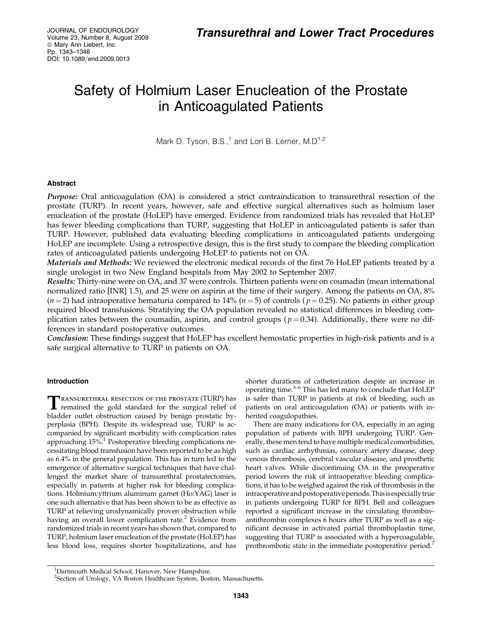# Safety of Holmium Laser Enucleation of the Prostate in Anticoagulated Patients

Mark D. Tyson,  $B.S.,<sup>1</sup>$  and Lori B. Lerner, M.D.<sup>1,2</sup>

# Abstract

Purpose: Oral anticoagulation (OA) is considered a strict contraindication to transurethral resection of the prostate (TURP). In recent years, however, safe and effective surgical alternatives such as holmium laser enucleation of the prostate (HoLEP) have emerged. Evidence from randomized trials has revealed that HoLEP has fewer bleeding complications than TURP, suggesting that HoLEP in anticoagulated patients is safer than TURP. However, published data evaluating bleeding complications in anticoagulated patients undergoing HoLEP are incomplete. Using a retrospective design, this is the first study to compare the bleeding complication rates of anticoagulated patients undergoing HoLEP to patients not on OA.

Materials and Methods: We reviewed the electronic medical records of the first 76 HoLEP patients treated by a single urologist in two New England hospitals from May 2002 to September 2007.

Results: Thirty-nine were on OA, and 37 were controls. Thirteen patients were on coumadin (mean international normalized ratio [INR] 1.5), and 25 were on aspirin at the time of their surgery. Among the patients on OA, 8%  $(n = 2)$  had intraoperative hematuria compared to 14%  $(n = 5)$  of controls ( $p = 0.25$ ). No patients in either group required blood transfusions. Stratifying the OA population revealed no statistical differences in bleeding complication rates between the coumadin, aspirin, and control groups ( $p = 0.34$ ). Additionally, there were no differences in standard postoperative outcomes.

Conclusion: These findings suggest that HoLEP has excellent hemostatic properties in high-risk patients and is a safe surgical alternative to TURP in patients on OA.

# Introduction

**TRANSURETHRAL RESECTION OF THE PROSTATE (TURP) has**<br>remained the gold standard for the surgical relief of bladder outlet obstruction caused by benign prostatic hyperplasia (BPH). Despite its widespread use, TURP is accompanied by significant morbidity with complication rates approaching  $15\%$ .<sup>1</sup> Postoperative bleeding complications necessitating blood transfusion have been reported to be as high as 6.4% in the general population. This has in turn led to the emergence of alternative surgical techniques that have challenged the market share of transurethral prostatectomies, especially in patients at higher risk for bleeding complications. Holmium:yttrium aluminum garnet (Ho:YAG) laser is one such alternative that has been shown to be as effective as TURP at relieving urodynamically proven obstruction while having an overall lower complication rate.<sup>2</sup> Evidence from randomized trials in recent years has shown that, compared to TURP, holmium laser enucleation of the prostate (HoLEP) has less blood loss, requires shorter hospitalizations, and has shorter durations of catheterization despite an increase in operating time.3–6 This has led many to conclude that HoLEP is safer than TURP in patients at risk of bleeding, such as patients on oral anticoagulation (OA) or patients with inherited coagulopathies.

There are many indications for OA, especially in an aging population of patients with BPH undergoing TURP. Generally, these men tend to have multiple medical comorbidities, such as cardiac arrhythmias, coronary artery disease, deep venous thrombosis, cerebral vascular disease, and prosthetic heart valves. While discontinuing OA in the preoperative period lowers the risk of intraoperative bleeding complications, it has to be weighed against the risk of thrombosis in the intraoperativeandpostoperativeperiods.Thisisespecially true in patients undergoing TURP for BPH. Bell and colleagues reported a significant increase in the circulating thrombin– antithrombin complexes 6 hours after TURP as well as a significant decrease in activated partial thromboplastin time, suggesting that TURP is associated with a hypercoagulable, prothrombotic state in the immediate postoperative period.<sup>7</sup>

<sup>&</sup>lt;sup>1</sup>Dartmouth Medical School, Hanover, New Hampshire.

<sup>&</sup>lt;sup>2</sup>Section of Urology, VA Boston Healthcare System, Boston, Massachusetts.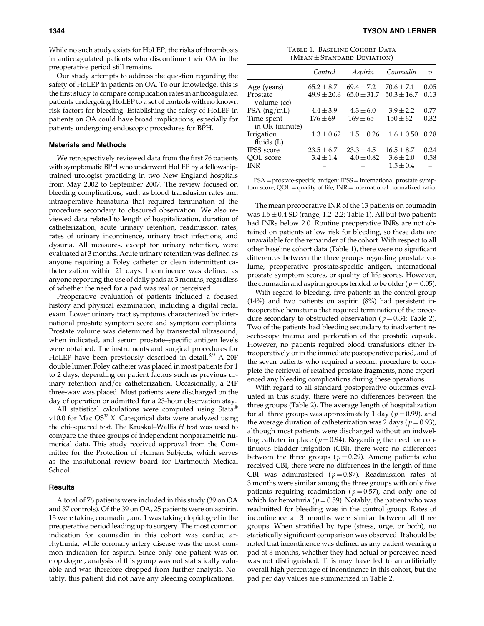While no such study exists for HoLEP, the risks of thrombosis in anticoagulated patients who discontinue their OA in the preoperative period still remains.

Our study attempts to address the question regarding the safety of HoLEP in patients on OA. To our knowledge, this is the first study to compare complication rates in anticoagulated patients undergoing HoLEP to a set of controls with no known risk factors for bleeding. Establishing the safety of HoLEP in patients on OA could have broad implications, especially for patients undergoing endoscopic procedures for BPH.

## Materials and Methods

We retrospectively reviewed data from the first 76 patients with symptomatic BPH who underwent HoLEP by a fellowshiptrained urologist practicing in two New England hospitals from May 2002 to September 2007. The review focused on bleeding complications, such as blood transfusion rates and intraoperative hematuria that required termination of the procedure secondary to obscured observation. We also reviewed data related to length of hospitalization, duration of catheterization, acute urinary retention, readmission rates, rates of urinary incontinence, urinary tract infections, and dysuria. All measures, except for urinary retention, were evaluated at 3 months. Acute urinary retention was defined as anyone requiring a Foley catheter or clean intermittent catheterization within 21 days. Incontinence was defined as anyone reporting the use of daily pads at 3 months, regardless of whether the need for a pad was real or perceived.

Preoperative evaluation of patients included a focused history and physical examination, including a digital rectal exam. Lower urinary tract symptoms characterized by international prostate symptom score and symptom complaints. Prostate volume was determined by transrectal ultrasound, when indicated, and serum prostate–specific antigen levels were obtained. The instruments and surgical procedures for HoLEP have been previously described in detail.<sup>8,9</sup> A 20F double lumen Foley catheter was placed in most patients for 1 to 2 days, depending on patient factors such as previous urinary retention and/or catheterization. Occasionally, a  $24F$ three-way was placed. Most patients were discharged on the day of operation or admitted for a 23-hour observation stay.

All statistical calculations were computed using Stata<sup>®</sup> v10.0 for Mac  $OS^{\otimes}$  X. Categorical data were analyzed using the chi-squared test. The Kruskal–Wallis H test was used to compare the three groups of independent nonparametric numerical data. This study received approval from the Committee for the Protection of Human Subjects, which serves as the institutional review board for Dartmouth Medical School.

## **Results**

A total of 76 patients were included in this study (39 on OA and 37 controls). Of the 39 on OA, 25 patients were on aspirin, 13 were taking coumadin, and 1 was taking clopidogrel in the preoperative period leading up to surgery. The most common indication for coumadin in this cohort was cardiac arrhythmia, while coronary artery disease was the most common indication for aspirin. Since only one patient was on clopidogrel, analysis of this group was not statistically valuable and was therefore dropped from further analysis. Notably, this patient did not have any bleeding complications.

TABLE 1. BASELINE COHORT DATA  $(MEAN \pm STANDARD$  Deviation)

|                              | Control         | Aspirin         | Coumadin                       | р                |
|------------------------------|-----------------|-----------------|--------------------------------|------------------|
| Age (years)                  | $65.2 \pm 8.7$  | $69.4 + 7.2$    | $70.6 \pm 7.1$                 | 0.05             |
| Prostate<br>volume (cc)      | $49.9 \pm 20.6$ | $65.0 \pm 31.7$ | $50.3 \pm 16.7$                | 0.13             |
| $PSA$ (ng/mL)                | $4.4 \pm 3.9$   | $4.3 + 6.0$     | $3.9 + 2.2$                    | 0.77             |
| Time spent<br>in OR (minute) | $176 \pm 69$    | $169 + 65$      | $150 + 62$                     | 0.32             |
| Irrigation<br>fluids $(L)$   | $1.3 \pm 0.62$  | $1.5 \pm 0.26$  | $1.6 \pm 0.50$                 | 0.28             |
| <b>IPSS</b> score            | $23.5 \pm 6.7$  | $23.3 + 4.5$    | $16.5 \pm 8.7$                 | 0.24             |
| OOL score<br>INR             | $3.4 \pm 1.4$   | $4.0 \pm 0.82$  | $3.6 \pm 2.0$<br>$1.5 \pm 0.4$ | 0.58<br>$\equiv$ |
|                              |                 |                 |                                |                  |

 $PSA =$  prostate-specific antigen;  $IPSS =$  international prostate symptom score;  $QOL =$  quality of life;  $INR =$  international normalized ratio.

The mean preoperative INR of the 13 patients on coumadin was  $1.5 \pm 0.4$  SD (range, 1.2–2.2; Table 1). All but two patients had INRs below 2.0. Routine preoperative INRs are not obtained on patients at low risk for bleeding, so these data are unavailable for the remainder of the cohort. With respect to all other baseline cohort data (Table 1), there were no significant differences between the three groups regarding prostate volume, preoperative prostate-specific antigen, international prostate symptom scores, or quality of life scores. However, the coumadin and aspirin groups tended to be older ( $p = 0.05$ ).

With regard to bleeding, five patients in the control group (14%) and two patients on aspirin (8%) had persistent intraoperative hematuria that required termination of the procedure secondary to obstructed observation ( $p = 0.34$ ; Table 2). Two of the patients had bleeding secondary to inadvertent resectoscope trauma and perforation of the prostatic capsule. However, no patients required blood transfusions either intraoperatively or in the immediate postoperative period, and of the seven patients who required a second procedure to complete the retrieval of retained prostate fragments, none experienced any bleeding complications during these operations.

With regard to all standard postoperative outcomes evaluated in this study, there were no differences between the three groups (Table 2). The average length of hospitalization for all three groups was approximately 1 day ( $p = 0.99$ ), and the average duration of catheterization was 2 days ( $p = 0.93$ ), although most patients were discharged without an indwelling catheter in place ( $p = 0.94$ ). Regarding the need for continuous bladder irrigation (CBI), there were no differences between the three groups ( $p = 0.29$ ). Among patients who received CBI, there were no differences in the length of time CBI was administered ( $p = 0.87$ ). Readmission rates at 3 months were similar among the three groups with only five patients requiring readmission ( $p = 0.57$ ), and only one of which for hematuria ( $p = 0.59$ ). Notably, the patient who was readmitted for bleeding was in the control group. Rates of incontinence at 3 months were similar between all three groups. When stratified by type (stress, urge, or both), no statistically significant comparison was observed. It should be noted that incontinence was defined as any patient wearing a pad at 3 months, whether they had actual or perceived need was not distinguished. This may have led to an artificially overall high percentage of incontinence in this cohort, but the pad per day values are summarized in Table 2.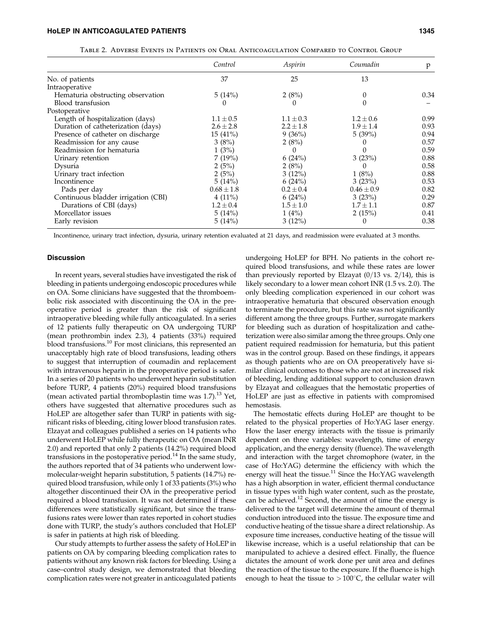## HoLEP IN ANTICOAGULATED PATIENTS 1345

|                                     | Control        | Aspirin       | Coumadin       | p    |
|-------------------------------------|----------------|---------------|----------------|------|
| No. of patients                     | 37             | 25            | 13             |      |
| Intraoperative                      |                |               |                |      |
| Hematuria obstructing observation   | 5(14%)         | 2(8%)         |                | 0.34 |
| Blood transfusion                   | $\theta$       | $\theta$      |                |      |
| Postoperative                       |                |               |                |      |
| Length of hospitalization (days)    | $1.1 \pm 0.5$  | $1.1 \pm 0.3$ | $1.2 \pm 0.6$  | 0.99 |
| Duration of catheterization (days)  | $2.6 \pm 2.8$  | $2.2 \pm 1.8$ | $1.9 \pm 1.4$  | 0.93 |
| Presence of catheter on discharge   | 15(41%)        | 9(36%)        | 5(39%)         | 0.94 |
| Readmission for any cause           | 3(8%)          | 2(8%)         |                | 0.57 |
| Readmission for hematuria           | 1(3%)          | $\Omega$      |                | 0.59 |
| Urinary retention                   | 7(19%)         | 6(24%)        | 3(23%)         | 0.88 |
| Dysuria                             | 2(5%)          | 2(8%)         |                | 0.58 |
| Urinary tract infection             | 2(5%)          | 3(12%)        | 1(8%)          | 0.88 |
| Incontinence                        | 5(14%)         | 6(24%)        | 3(23%)         | 0.53 |
| Pads per day                        | $0.68 \pm 1.8$ | $0.2 \pm 0.4$ | $0.46 \pm 0.9$ | 0.82 |
| Continuous bladder irrigation (CBI) | $4(11\%)$      | 6(24%)        | 3(23%)         | 0.29 |
| Durations of CBI (days)             | $1.2 \pm 0.4$  | $1.5 \pm 1.0$ | $1.7 \pm 1.1$  | 0.87 |
| Morcellator issues                  | 5(14%)         | 1(4%)         | 2(15%)         | 0.41 |
| Early revision                      | 5(14%)         | 3(12%)        |                | 0.38 |

Table 2. Adverse Events in Patients on Oral Anticoagulation Compared to Control Group

Incontinence, urinary tract infection, dysuria, urinary retention evaluated at 21 days, and readmission were evaluated at 3 months.

#### Discussion

In recent years, several studies have investigated the risk of bleeding in patients undergoing endoscopic procedures while on OA. Some clinicians have suggested that the thromboembolic risk associated with discontinuing the OA in the preoperative period is greater than the risk of significant intraoperative bleeding while fully anticoagulated. In a series of 12 patients fully therapeutic on OA undergoing TURP (mean prothrombin index 2.3), 4 patients (33%) required blood transfusions.<sup>10</sup> For most clinicians, this represented an unacceptably high rate of blood transfusions, leading others to suggest that interruption of coumadin and replacement with intravenous heparin in the preoperative period is safer. In a series of 20 patients who underwent heparin substitution before TURP, 4 patients (20%) required blood transfusions (mean activated partial thromboplastin time was  $1.7$ ).<sup>13</sup> Yet, others have suggested that alternative procedures such as HoLEP are altogether safer than TURP in patients with significant risks of bleeding, citing lower blood transfusion rates. Elzayat and colleagues published a series on 14 patients who underwent HoLEP while fully therapeutic on OA (mean INR 2.0) and reported that only 2 patients (14.2%) required blood transfusions in the postoperative period.<sup>14</sup> In the same study, the authors reported that of 34 patients who underwent lowmolecular-weight heparin substitution, 5 patients (14.7%) required blood transfusion, while only 1 of 33 patients (3%) who altogether discontinued their OA in the preoperative period required a blood transfusion. It was not determined if these differences were statistically significant, but since the transfusions rates were lower than rates reported in cohort studies done with TURP, the study's authors concluded that HoLEP is safer in patients at high risk of bleeding.

Our study attempts to further assess the safety of HoLEP in patients on OA by comparing bleeding complication rates to patients without any known risk factors for bleeding. Using a case–control study design, we demonstrated that bleeding complication rates were not greater in anticoagulated patients undergoing HoLEP for BPH. No patients in the cohort required blood transfusions, and while these rates are lower than previously reported by Elzayat  $(0/13 \text{ vs. } 2/14)$ , this is likely secondary to a lower mean cohort INR (1.5 vs. 2.0). The only bleeding complication experienced in our cohort was intraoperative hematuria that obscured observation enough to terminate the procedure, but this rate was not significantly different among the three groups. Further, surrogate markers for bleeding such as duration of hospitalization and catheterization were also similar among the three groups. Only one patient required readmission for hematuria, but this patient was in the control group. Based on these findings, it appears as though patients who are on OA preoperatively have similar clinical outcomes to those who are not at increased risk of bleeding, lending additional support to conclusion drawn by Elzayat and colleagues that the hemostatic properties of HoLEP are just as effective in patients with compromised hemostasis.

The hemostatic effects during HoLEP are thought to be related to the physical properties of Ho:YAG laser energy. How the laser energy interacts with the tissue is primarily dependent on three variables: wavelength, time of energy application, and the energy density (fluence). The wavelength and interaction with the target chromophore (water, in the case of Ho:YAG) determine the efficiency with which the energy will heat the tissue.<sup>11</sup> Since the Ho:YAG wavelength has a high absorption in water, efficient thermal conductance in tissue types with high water content, such as the prostate, can be achieved.<sup>12</sup> Second, the amount of time the energy is delivered to the target will determine the amount of thermal conduction introduced into the tissue. The exposure time and conductive heating of the tissue share a direct relationship. As exposure time increases, conductive heating of the tissue will likewise increase, which is a useful relationship that can be manipulated to achieve a desired effect. Finally, the fluence dictates the amount of work done per unit area and defines the reaction of the tissue to the exposure. If the fluence is high enough to heat the tissue to  $> 100^{\circ}$ C, the cellular water will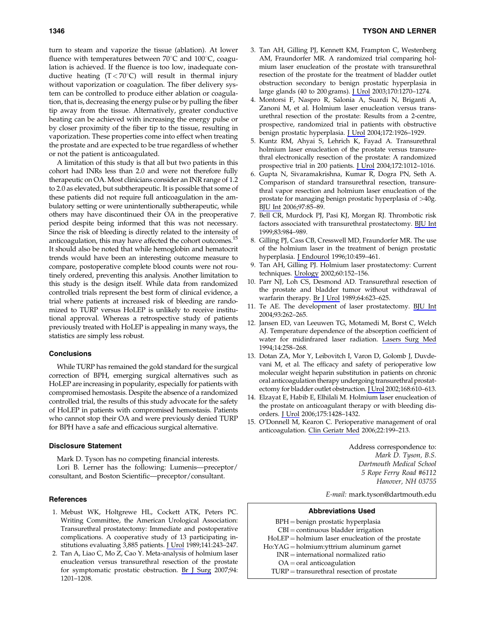turn to steam and vaporize the tissue (ablation). At lower fluence with temperatures between  $70^{\circ}$ C and  $100^{\circ}$ C, coagulation is achieved. If the fluence is too low, inadequate conductive heating  $(T < 70^{\circ}C)$  will result in thermal injury without vaporization or coagulation. The fiber delivery system can be controlled to produce either ablation or coagulation, that is, decreasing the energy pulse or by pulling the fiber tip away from the tissue. Alternatively, greater conductive heating can be achieved with increasing the energy pulse or by closer proximity of the fiber tip to the tissue, resulting in vaporization. These properties come into effect when treating the prostate and are expected to be true regardless of whether or not the patient is anticoagulated.

A limitation of this study is that all but two patients in this cohort had INRs less than 2.0 and were not therefore fully therapeutic on OA. Most clinicians consider an INR range of 1.2 to 2.0 as elevated, but subtherapeutic. It is possible that some of these patients did not require full anticoagulation in the ambulatory setting or were unintentionally subtherapeutic, while others may have discontinued their OA in the preoperative period despite being informed that this was not necessary. Since the risk of bleeding is directly related to the intensity of anticoagulation, this may have affected the cohort outcomes.15 It should also be noted that while hemoglobin and hematocrit trends would have been an interesting outcome measure to compare, postoperative complete blood counts were not routinely ordered, preventing this analysis. Another limitation to this study is the design itself. While data from randomized controlled trials represent the best form of clinical evidence, a trial where patients at increased risk of bleeding are randomized to TURP versus HoLEP is unlikely to receive institutional approval. Whereas a retrospective study of patients previously treated with HoLEP is appealing in many ways, the statistics are simply less robust.

## Conclusions

While TURP has remained the gold standard for the surgical correction of BPH, emerging surgical alternatives such as HoLEP are increasing in popularity, especially for patients with compromised hemostasis. Despite the absence of a randomized controlled trial, the results of this study advocate for the safety of HoLEP in patients with compromised hemostasis. Patients who cannot stop their OA and were previously denied TURP for BPH have a safe and efficacious surgical alternative.

## Disclosure Statement

Mark D. Tyson has no competing financial interests. Lori B. Lerner has the following: Lumenis—preceptor/ consultant, and Boston Scientific—preceptor/consultant.

## **References**

- 1. Mebust WK, Holtgrewe HL, Cockett ATK, Peters PC. Writing Committee, the American Urological Association: Transurethral prostatectomy: Immediate and postoperative complications. A cooperative study of 13 participating institutions evaluating 3,885 patients. J Urol 1989;141:243–247.
- 2. Tan A, Liao C, Mo Z, Cao Y. Meta-analysis of holmium laser enucleation versus transurethral resection of the prostate for symptomatic prostatic obstruction. Br J Surg 2007;94: 1201–1208.
- 3. Tan AH, Gilling PJ, Kennett KM, Frampton C, Westenberg AM, Fraundorfer MR. A randomized trial comparing holmium laser enucleation of the prostate with transurethral resection of the prostate for the treatment of bladder outlet obstruction secondary to benign prostatic hyperplasia in large glands (40 to 200 grams). J Urol 2003;170:1270–1274.
- 4. Montorsi F, Naspro R, Salonia A, Suardi N, Briganti A, Zanoni M, et al. Holmium laser enucleation versus transurethral resection of the prostate: Results from a 2-centre, prospective, randomized trial in patients with obstructive benign prostatic hyperplasia. J Urol 2004;172:1926–1929.
- 5. Kuntz RM, Ahyai S, Lehrich K, Fayad A. Transurethral holmium laser enucleation of the prostate versus transurethral electronically resection of the prostate: A randomized prospective trial in 200 patients. J Urol 2004;172:1012–1016.
- 6. Gupta N, Sivaramakrishna, Kumar R, Dogra PN, Seth A. Comparison of standard transurethral resection, transurethral vapor resection and holmium laser enucleation of the prostate for managing benign prostatic hyperplasia of >40g. BJU Int 2006;97:85–89.
- 7. Bell CR, Murdock PJ, Pasi KJ, Morgan RJ. Thrombotic risk factors associated with transurethral prostatectomy. BJU Int 1999;83:984–989.
- 8. Gilling PJ, Cass CB, Cresswell MD, Fraundorfer MR. The use of the holmium laser in the treatment of benign prostatic hyperplasia. J Endourol 1996;10:459–461.
- 9. Tan AH, Gilling PJ. Holmium laser prostatectomy: Current techniques. Urology 2002;60:152–156.
- 10. Parr NJ, Loh CS, Desmond AD. Transurethral resection of the prostate and bladder tumor without withdrawal of warfarin therapy. Br J Urol 1989;64:623–625.
- 11. Te AE. The development of laser prostatectomy. BJU Int 2004;93:262–265.
- 12. Jansen ED, van Leeuwen TG, Motamedi M, Borst C, Welch AJ. Temperature dependence of the absorption coefficient of water for midinfrared laser radiation. Lasers Surg Med 1994;14:258–268.
- 13. Dotan ZA, Mor Y, Leibovitch I, Varon D, Golomb J, Duvdevani M, et al. The efficacy and safety of perioperative low molecular weight heparin substitution in patients on chronic oral anticoagulation therapy undergoing transurethral prostatectomy for bladder outlet obstruction. J Urol 2002;168:610–613.
- 14. Elzayat E, Habib E, Elhilali M. Holmium laser enucleation of the prostate on anticoagulant therapy or with bleeding disorders. J Urol 2006;175:1428–1432.
- 15. O'Donnell M, Kearon C. Perioperative management of oral anticoagulation. Clin Geriatr Med 2006;22:199–213.

Address correspondence to: Mark D. Tyson, B.S. Dartmouth Medical School 5 Rope Ferry Road #6112 Hanover, NH 03755

E-mail: mark.tyson@dartmouth.edu

## Abbreviations Used

BPH = benign prostatic hyperplasia  $CBI =$  continuous bladder irrigation  $HoLEP = holmium$  laser enucleation of the prostate  $Ho:YAG = h$ olmium:yttrium aluminum garnet  $INR =$  international normalized ratio  $OA = 0$ ral anticoagulation  $TURP = transurethral resection of prostate$